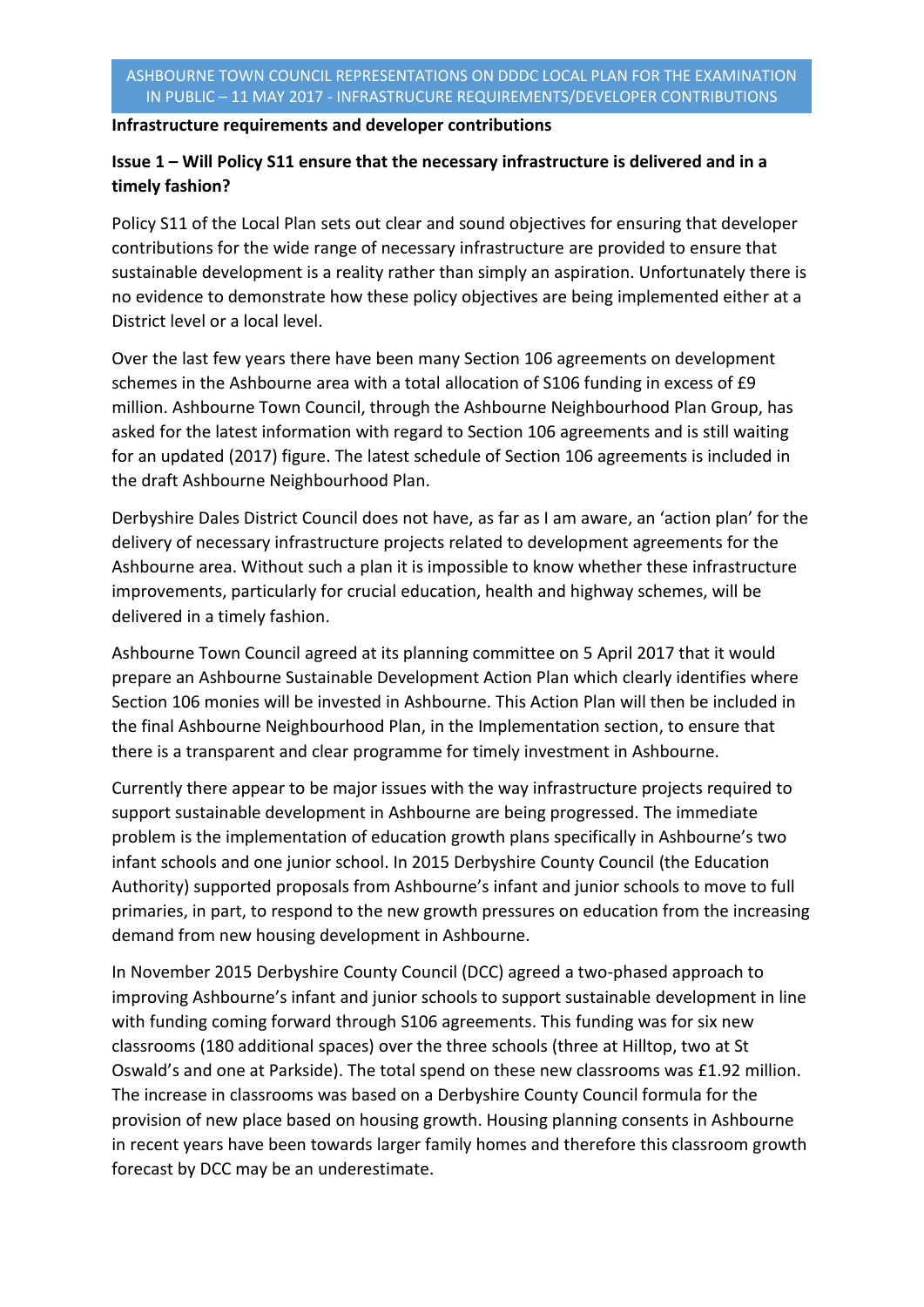## **Infrastructure requirements and developer contributions**

## **Issue 1 – Will Policy S11 ensure that the necessary infrastructure is delivered and in a timely fashion?**

Policy S11 of the Local Plan sets out clear and sound objectives for ensuring that developer contributions for the wide range of necessary infrastructure are provided to ensure that sustainable development is a reality rather than simply an aspiration. Unfortunately there is no evidence to demonstrate how these policy objectives are being implemented either at a District level or a local level.

Over the last few years there have been many Section 106 agreements on development schemes in the Ashbourne area with a total allocation of S106 funding in excess of £9 million. Ashbourne Town Council, through the Ashbourne Neighbourhood Plan Group, has asked for the latest information with regard to Section 106 agreements and is still waiting for an updated (2017) figure. The latest schedule of Section 106 agreements is included in the draft Ashbourne Neighbourhood Plan.

Derbyshire Dales District Council does not have, as far as I am aware, an 'action plan' for the delivery of necessary infrastructure projects related to development agreements for the Ashbourne area. Without such a plan it is impossible to know whether these infrastructure improvements, particularly for crucial education, health and highway schemes, will be delivered in a timely fashion.

Ashbourne Town Council agreed at its planning committee on 5 April 2017 that it would prepare an Ashbourne Sustainable Development Action Plan which clearly identifies where Section 106 monies will be invested in Ashbourne. This Action Plan will then be included in the final Ashbourne Neighbourhood Plan, in the Implementation section, to ensure that there is a transparent and clear programme for timely investment in Ashbourne.

Currently there appear to be major issues with the way infrastructure projects required to support sustainable development in Ashbourne are being progressed. The immediate problem is the implementation of education growth plans specifically in Ashbourne's two infant schools and one junior school. In 2015 Derbyshire County Council (the Education Authority) supported proposals from Ashbourne's infant and junior schools to move to full primaries, in part, to respond to the new growth pressures on education from the increasing demand from new housing development in Ashbourne.

In November 2015 Derbyshire County Council (DCC) agreed a two-phased approach to improving Ashbourne's infant and junior schools to support sustainable development in line with funding coming forward through S106 agreements. This funding was for six new classrooms (180 additional spaces) over the three schools (three at Hilltop, two at St Oswald's and one at Parkside). The total spend on these new classrooms was £1.92 million. The increase in classrooms was based on a Derbyshire County Council formula for the provision of new place based on housing growth. Housing planning consents in Ashbourne in recent years have been towards larger family homes and therefore this classroom growth forecast by DCC may be an underestimate.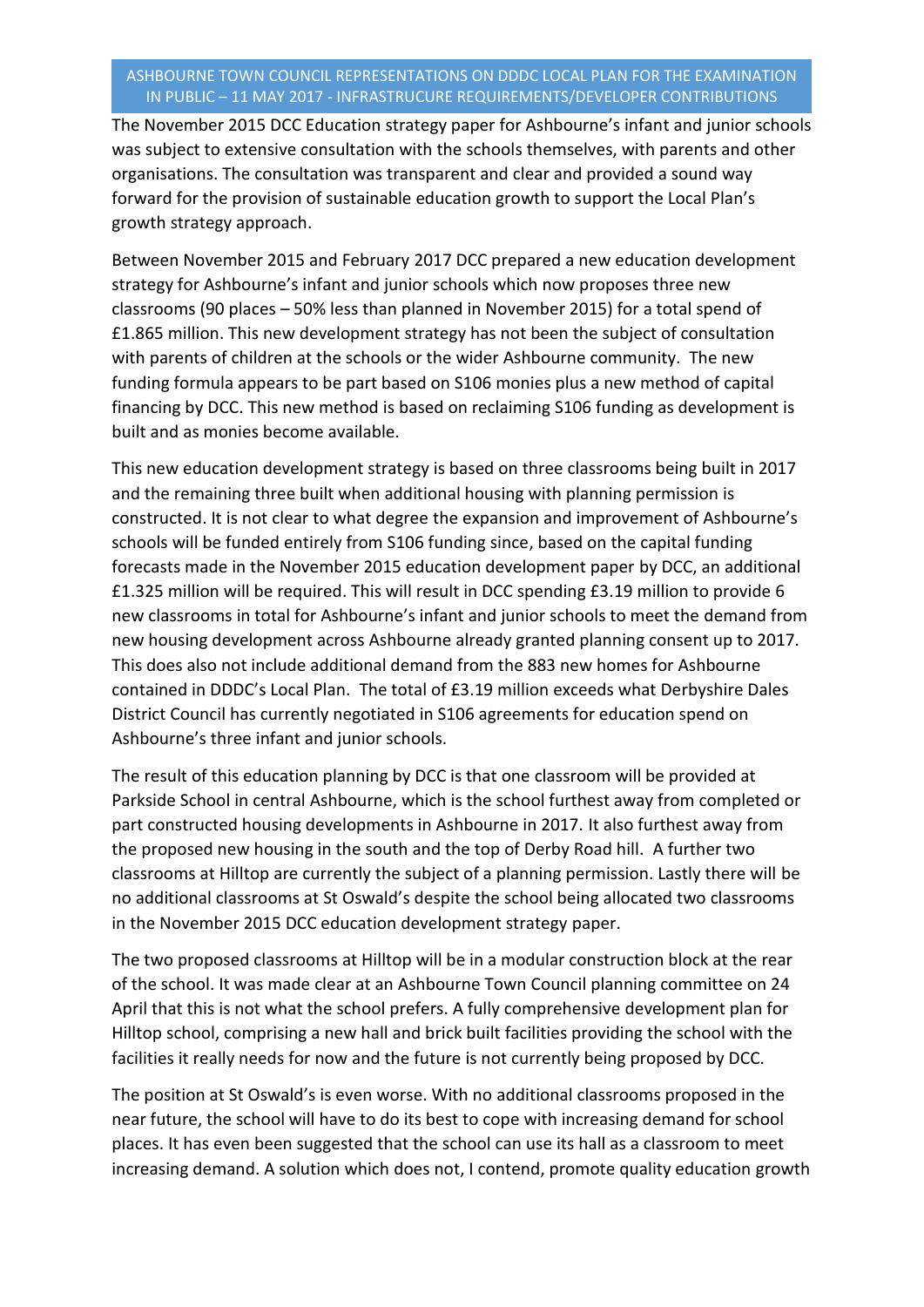## ASHBOURNE TOWN COUNCIL REPRESENTATIONS ON DDDC LOCAL PLAN FOR THE EXAMINATION IN PUBLIC – 11 MAY 2017 - INFRASTRUCURE REQUIREMENTS/DEVELOPER CONTRIBUTIONS

The November 2015 DCC Education strategy paper for Ashbourne's infant and junior schools was subject to extensive consultation with the schools themselves, with parents and other organisations. The consultation was transparent and clear and provided a sound way forward for the provision of sustainable education growth to support the Local Plan's growth strategy approach.

Between November 2015 and February 2017 DCC prepared a new education development strategy for Ashbourne's infant and junior schools which now proposes three new classrooms (90 places – 50% less than planned in November 2015) for a total spend of £1.865 million. This new development strategy has not been the subject of consultation with parents of children at the schools or the wider Ashbourne community. The new funding formula appears to be part based on S106 monies plus a new method of capital financing by DCC. This new method is based on reclaiming S106 funding as development is built and as monies become available.

This new education development strategy is based on three classrooms being built in 2017 and the remaining three built when additional housing with planning permission is constructed. It is not clear to what degree the expansion and improvement of Ashbourne's schools will be funded entirely from S106 funding since, based on the capital funding forecasts made in the November 2015 education development paper by DCC, an additional £1.325 million will be required. This will result in DCC spending £3.19 million to provide 6 new classrooms in total for Ashbourne's infant and junior schools to meet the demand from new housing development across Ashbourne already granted planning consent up to 2017. This does also not include additional demand from the 883 new homes for Ashbourne contained in DDDC's Local Plan. The total of £3.19 million exceeds what Derbyshire Dales District Council has currently negotiated in S106 agreements for education spend on Ashbourne's three infant and junior schools.

The result of this education planning by DCC is that one classroom will be provided at Parkside School in central Ashbourne, which is the school furthest away from completed or part constructed housing developments in Ashbourne in 2017. It also furthest away from the proposed new housing in the south and the top of Derby Road hill. A further two classrooms at Hilltop are currently the subject of a planning permission. Lastly there will be no additional classrooms at St Oswald's despite the school being allocated two classrooms in the November 2015 DCC education development strategy paper.

The two proposed classrooms at Hilltop will be in a modular construction block at the rear of the school. It was made clear at an Ashbourne Town Council planning committee on 24 April that this is not what the school prefers. A fully comprehensive development plan for Hilltop school, comprising a new hall and brick built facilities providing the school with the facilities it really needs for now and the future is not currently being proposed by DCC.

The position at St Oswald's is even worse. With no additional classrooms proposed in the near future, the school will have to do its best to cope with increasing demand for school places. It has even been suggested that the school can use its hall as a classroom to meet increasing demand. A solution which does not, I contend, promote quality education growth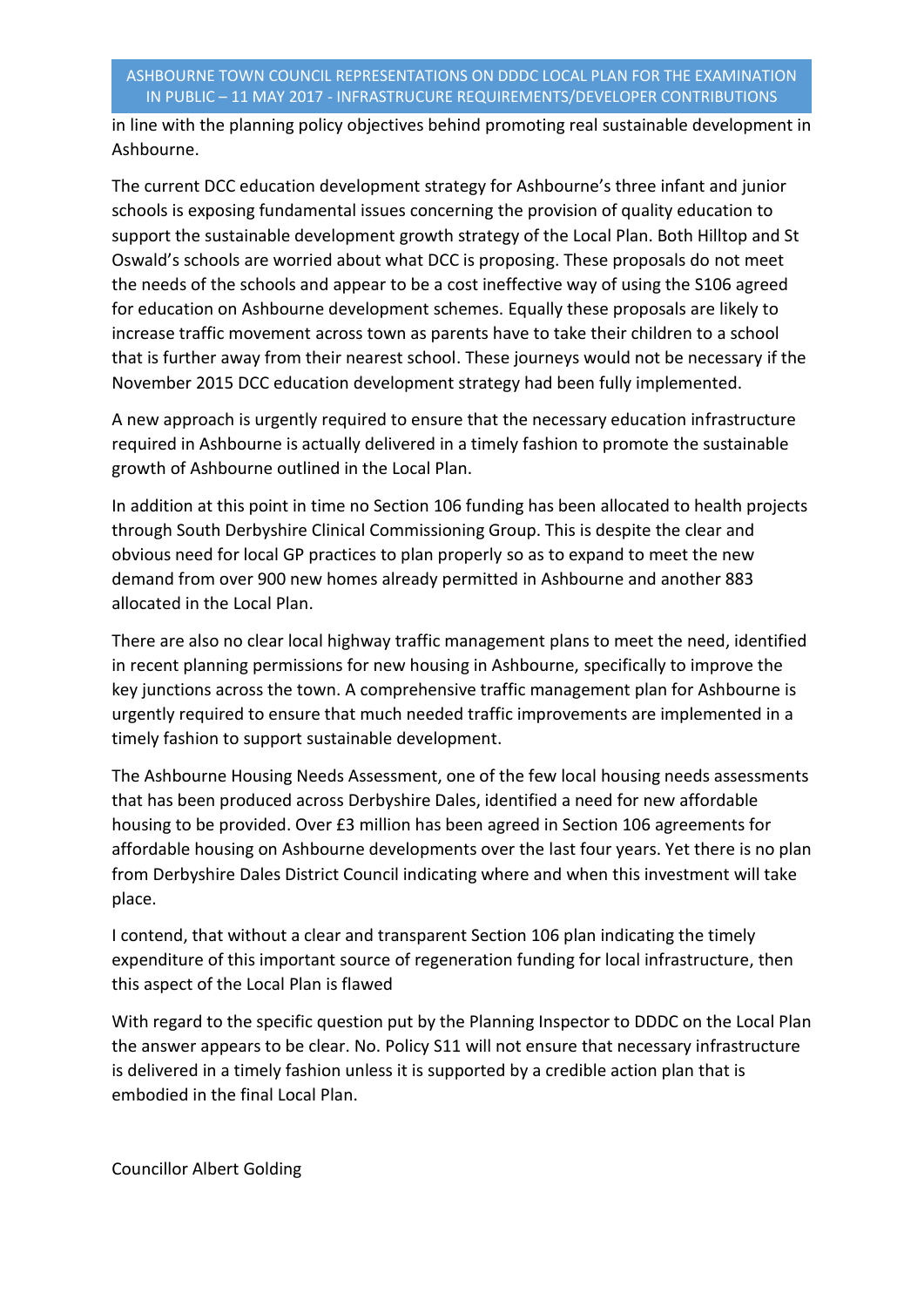in line with the planning policy objectives behind promoting real sustainable development in Ashbourne.

The current DCC education development strategy for Ashbourne's three infant and junior schools is exposing fundamental issues concerning the provision of quality education to support the sustainable development growth strategy of the Local Plan. Both Hilltop and St Oswald's schools are worried about what DCC is proposing. These proposals do not meet the needs of the schools and appear to be a cost ineffective way of using the S106 agreed for education on Ashbourne development schemes. Equally these proposals are likely to increase traffic movement across town as parents have to take their children to a school that is further away from their nearest school. These journeys would not be necessary if the November 2015 DCC education development strategy had been fully implemented.

A new approach is urgently required to ensure that the necessary education infrastructure required in Ashbourne is actually delivered in a timely fashion to promote the sustainable growth of Ashbourne outlined in the Local Plan.

In addition at this point in time no Section 106 funding has been allocated to health projects through South Derbyshire Clinical Commissioning Group. This is despite the clear and obvious need for local GP practices to plan properly so as to expand to meet the new demand from over 900 new homes already permitted in Ashbourne and another 883 allocated in the Local Plan.

There are also no clear local highway traffic management plans to meet the need, identified in recent planning permissions for new housing in Ashbourne, specifically to improve the key junctions across the town. A comprehensive traffic management plan for Ashbourne is urgently required to ensure that much needed traffic improvements are implemented in a timely fashion to support sustainable development.

The Ashbourne Housing Needs Assessment, one of the few local housing needs assessments that has been produced across Derbyshire Dales, identified a need for new affordable housing to be provided. Over £3 million has been agreed in Section 106 agreements for affordable housing on Ashbourne developments over the last four years. Yet there is no plan from Derbyshire Dales District Council indicating where and when this investment will take place.

I contend, that without a clear and transparent Section 106 plan indicating the timely expenditure of this important source of regeneration funding for local infrastructure, then this aspect of the Local Plan is flawed

With regard to the specific question put by the Planning Inspector to DDDC on the Local Plan the answer appears to be clear. No. Policy S11 will not ensure that necessary infrastructure is delivered in a timely fashion unless it is supported by a credible action plan that is embodied in the final Local Plan.

Councillor Albert Golding